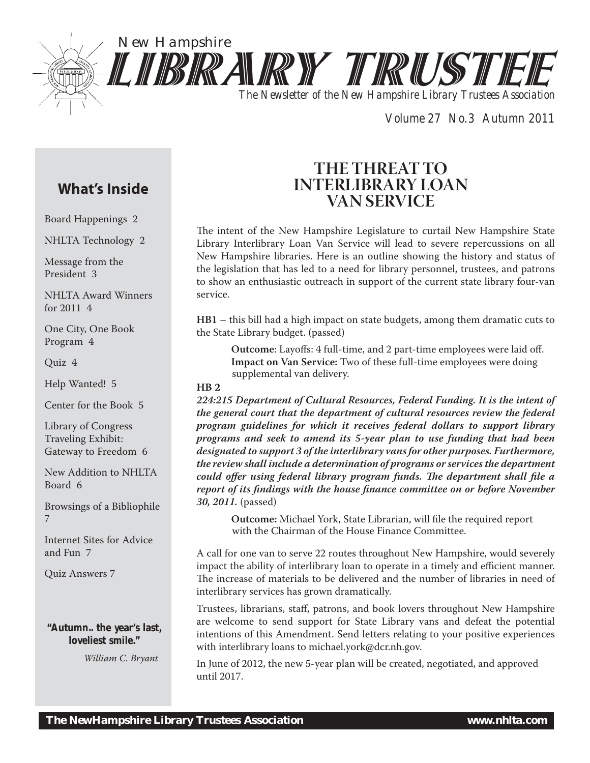

*Volume 27 No.3 Autumn 2011*

# **What's Inside**

Board Happenings 2

NHLTA Technology 2

Message from the President 3

NHLTA Award Winners for 2011 4

One City, One Book Program 4

Quiz 4

Help Wanted! 5

Center for the Book 5

Library of Congress Traveling Exhibit: Gateway to Freedom 6

New Addition to NHLTA Board 6

Browsings of a Bibliophile 7

Internet Sites for Advice and Fun 7

Quiz Answers 7

# **"Autumn.. the year's last, loveliest smile."**

*William C. Bryant*

# **THE THREAT TO INTERLIBRARY LOAN VAN SERVICE**

The intent of the New Hampshire Legislature to curtail New Hampshire State Library Interlibrary Loan Van Service will lead to severe repercussions on all New Hampshire libraries. Here is an outline showing the history and status of the legislation that has led to a need for library personnel, trustees, and patrons to show an enthusiastic outreach in support of the current state library four-van service.

**HB1** – this bill had a high impact on state budgets, among them dramatic cuts to the State Library budget. (passed)

**Outcome**: Layoffs: 4 full-time, and 2 part-time employees were laid off. **Impact on Van Service:** Two of these full-time employees were doing supplemental van delivery.

## **HB 2**

*224:215 Department of Cultural Resources, Federal Funding. It is the intent of the general court that the department of cultural resources review the federal program guidelines for which it receives federal dollars to support library programs and seek to amend its 5-year plan to use funding that had been designated to support 3 of the interlibrary vans for other purposes. Furthermore, the review shall include a determination of programs or services the department could offer using federal library program funds. The department shall file a report of its findings with the house finance committee on or before November 30, 2011.* (passed)

**Outcome:** Michael York, State Librarian, will file the required report with the Chairman of the House Finance Committee.

A call for one van to serve 22 routes throughout New Hampshire, would severely impact the ability of interlibrary loan to operate in a timely and efficient manner. The increase of materials to be delivered and the number of libraries in need of interlibrary services has grown dramatically.

Trustees, librarians, staff, patrons, and book lovers throughout New Hampshire are welcome to send support for State Library vans and defeat the potential intentions of this Amendment. Send letters relating to your positive experiences with interlibrary loans to michael.york@dcr.nh.gov.

In June of 2012, the new 5-year plan will be created, negotiated, and approved until 2017.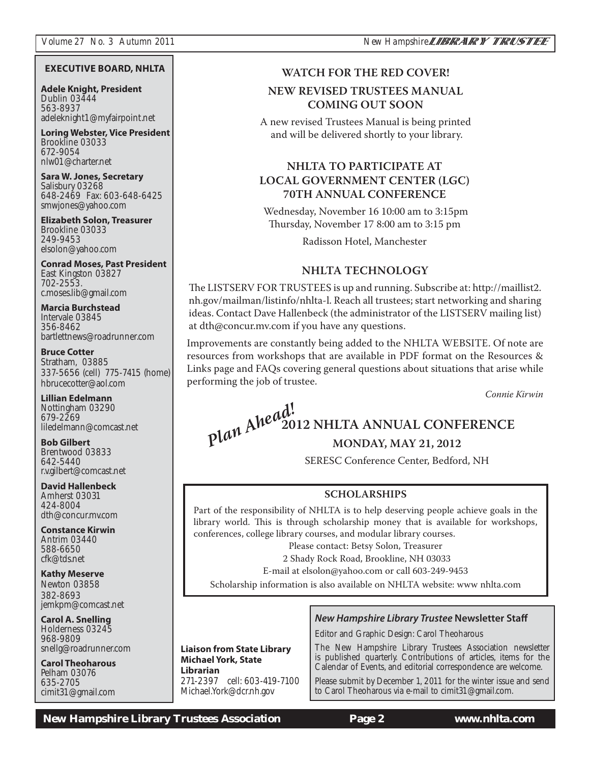## **EXECUTIVE BOARD, NHLTA**

**Adele Knight, President** Dublin 03444 563-8937 adeleknight1@myfairpoint.net

**Loring Webster, Vice President** Brookline 03033 672-9054 nlw01@charter.net

**Sara W. Jones, Secretary** Salisbury 03268 648-2469 Fax: 603-648-6425 smwjones@yahoo.com

**Elizabeth Solon, Treasurer** Brookline 03033 249-9453 elsolon@yahoo.com

**Conrad Moses, Past President** East Kingston 03827 702-2553. c.moses.lib@gmail.com

**Marcia Burchstead** Intervale 03845 356-8462 bartlettnews@roadrunner.com

**Bruce Cotter**  Stratham, 03885 337-5656 (cell) 775-7415 (home) hbrucecotter@aol.com

**Lillian Edelmann** Nottingham 03290 679-2269 liledelmann@comcast.net

**Bob Gilbert** Brentwood 03833 642-5440 r.v.gilbert@comcast.net

**David Hallenbeck** Amherst 03031 424-8004 dth@concur.mv.com

**Constance Kirwin** Antrim 03440 588-6650 cfk@tds.net

**Kathy Meserve** Newton 03858 382-8693 jemkpm@comcast.net

**Carol A. Snelling** Holderness 03245 968-9809 snellg@roadrunner.com

**Carol Theoharous** Pelham 03076 635-2705 cimit31@gmail.com

# **WATCH FOR THE RED COVER! COMING OUT SOON COMING OUT SOON**

A new revised Trustees Manual is being printed and will be delivered shortly to your library.

# **NHLTA TO PARTICIPATE AT<br>LOCAL GOVERNMENT CENTER (LGC) 70TH ANNUAL CONFERENCE**

**70TH ANNUAL CONFERENCE** Wednesday, November 16 10:00 am to 3:15pm Thursday, November 17 8:00 am to 3:15 pm

Radisson Hotel, Manchester

**NHLTA TECHNOLOGY** The LISTSERV FOR TRUSTEES is up and running. Subscribe at: http://maillist2. nh.gov/mailman/listinfo/nhlta-l. Reach all trustees; start networking and sharing ideas. Contact Dave Hallenbeck (the administrator of the LISTSERV mailing list) at dth@concur.mv.com if you have any questions.

Improvements are constantly being added to the NHLTA WEBSITE. Of note are resources from workshops that are available in PDF format on the Resources & Links page and FAQs covering general questions about situations that arise while performing the job of trustee.

*Connie Kirwin*

# **2012 NHLTA ANNUAL CONFERENCE** *Plan Ahead!*

**MONDAY, MAY 21, 2012** SERESC Conference Center, Bedford, NH

**SCHOLARSHIPS** Part of the responsibility of NHLTA is to help deserving people achieve goals in the library world. This is through scholarship money that is available for workshops, conferences, college library courses, and modular library courses.

Please contact: Betsy Solon, Treasurer

2 Shady Rock Road, Brookline, NH 03033

E-mail at elsolon@yahoo.com or call 603-249-9453

Scholarship information is also available on NHLTA website: www nhlta.com

# *New Hampshire Library Trustee* **Newsletter Staff**

Editor and Graphic Design: Carol Theoharous

The New Hampshire Library Trustees Association newsletter is published quarterly. Contributions of articles, items for the Calendar of Events, and editorial correspondence are welcome.

Please submit by December 1, 2011 for the winter issue and send to Carol Theoharous via e-mail to cimit31@gmail.com.

 *New Hampshire Library Trustees Association* **Page 2 www.nhlta.com**

**Liaison from State Library Michael York, State Librarian** 271-2397 cell: 603-419-7100 Michael.York@dcr.nh.gov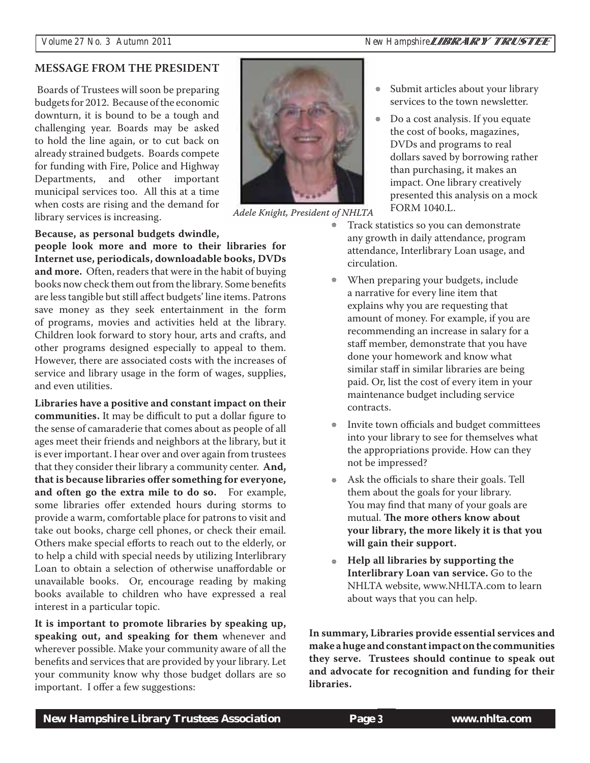# **MESSAGE FROM THE PRESIDENT**

Boards of Trustees will soon be preparing budgets for 2012. Because of the economic downturn, it is bound to be a tough and challenging year. Boards may be asked to hold the line again, or to cut back on already strained budgets. Boards compete for funding with Fire, Police and Highway Departments, and other important municipal services too. All this at a time when costs are rising and the demand for library services is increasing.



*Adele Knight, President of NHLTA* 

# **Because, as personal budgets dwindle,**

**people look more and more to their libraries for Internet use, periodicals, downloadable books, DVDs and more.** Often, readers that were in the habit of buying books now check them out from the library. Some benefits are less tangible but still affect budgets' line items. Patrons save money as they seek entertainment in the form of programs, movies and activities held at the library. Children look forward to story hour, arts and crafts, and other programs designed especially to appeal to them. However, there are associated costs with the increases of service and library usage in the form of wages, supplies, and even utilities.

**Libraries have a positive and constant impact on their communities.** It may be difficult to put a dollar figure to the sense of camaraderie that comes about as people of all ages meet their friends and neighbors at the library, but it is ever important. I hear over and over again from trustees that they consider their library a community center. **And, that is because libraries offer something for everyone, and often go the extra mile to do so.** For example, some libraries offer extended hours during storms to provide a warm, comfortable place for patrons to visit and take out books, charge cell phones, or check their email. Others make special efforts to reach out to the elderly, or to help a child with special needs by utilizing Interlibrary Loan to obtain a selection of otherwise unaffordable or unavailable books. Or, encourage reading by making books available to children who have expressed a real interest in a particular topic.

**It is important to promote libraries by speaking up, speaking out, and speaking for them** whenever and wherever possible. Make your community aware of all the benefits and services that are provided by your library. Let your community know why those budget dollars are so important. I offer a few suggestions:

- Submit articles about your library services to the town newsletter. ×
- Do a cost analysis. If you equate the cost of books, magazines, DVDs and programs to real dollars saved by borrowing rather than purchasing, it makes an impact. One library creatively presented this analysis on a mock FORM 1040.L. ₩
- Track statistics so you can demonstrate any growth in daily attendance, program attendance, Interlibrary Loan usage, and circulation. \*
- When preparing your budgets, include a narrative for every line item that explains why you are requesting that amount of money. For example, if you are recommending an increase in salary for a staff member, demonstrate that you have done your homework and know what similar staff in similar libraries are being paid. Or, list the cost of every item in your maintenance budget including service contracts. ※
- Invite town officials and budget committees into your library to see for themselves what the appropriations provide. How can they not be impressed? \*
- Ask the officials to share their goals. Tell them about the goals for your library. You may find that many of your goals are mutual. **The more others know about your library, the more likely it is that you will gain their support.**
- **Help all libraries by supporting the Interlibrary Loan van service.** Go to the NHLTA website, www.NHLTA.com to learn about ways that you can help.

**In summary, Libraries provide essential services and make a huge and constant impact on the communities they serve. Trustees should continue to speak out and advocate for recognition and funding for their libraries.**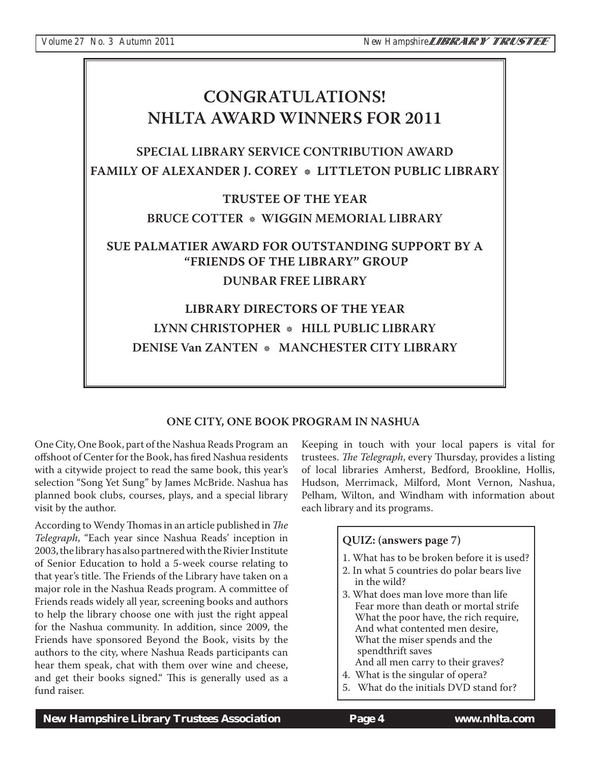# **CONGRATULATIONS! NHLTA AWARD WINNERS FOR 2011 NHLTA AWARD WINDERS FOR 2011 SPECIAL LIBRARY SERVICE CONTRIBUTION AWARD FAMILY OF ALEXANDER J. COREY LITTLETON PUBLIC LIBRARY TRUSTEE OF THE YEAR BRUCE COTTER \* WIGGIN MEMORIAL LIBRARY BRUCE CONTER** *MEMORIAL LIBRARY* **SUE PALMATIER AWARD FOR OUTSTANDING SUPPORT BY A "FRIENDS OF THE LIBRARY" GROUP DUNBAR FREE LIBRARY LIBRARY DIRECTORS OF THE YEAR** LYNN CHRISTOPHER \* HILL PUBLIC LIBRARY **LYNN CHRISTOPHER - HILL PUBLIC LIBRARY DENISE Van ZANTEN -***MANCHESTER CITY LIBRARY*

# **ONE CITY, ONE BOOK PROGRAM IN NASHUA**

One City, One Book, part of the Nashua Reads Program an offshoot of Center for the Book, has fired Nashua residents with a citywide project to read the same book, this year's selection "Song Yet Sung" by James McBride. Nashua has planned book clubs, courses, plays, and a special library visit by the author.

According to Wendy Thomas in an article published in *The Telegraph*, "Each year since Nashua Reads' inception in 2003, the library has also partnered with the Rivier Institute of Senior Education to hold a 5-week course relating to that year's title. The Friends of the Library have taken on a major role in the Nashua Reads program. A committee of Friends reads widely all year, screening books and authors to help the library choose one with just the right appeal for the Nashua community. In addition, since 2009, the Friends have sponsored Beyond the Book, visits by the authors to the city, where Nashua Reads participants can hear them speak, chat with them over wine and cheese, and get their books signed." This is generally used as a fund raiser.

Keeping in touch with your local papers is vital for trustees. *The Telegraph*, every Thursday, provides a listing of local libraries Amherst, Bedford, Brookline, Hollis, Hudson, Merrimack, Milford, Mont Vernon, Nashua, Pelham, Wilton, and Windham with information about each library and its programs.

# $\frac{1}{2}$  and  $\frac{1}{2}$  and  $\frac{1}{2}$  and  $\frac{1}{2}$  and  $\frac{1}{2}$  and  $\frac{1}{2}$  and  $\frac{1}{2}$  and  $\frac{1}{2}$  and  $\frac{1}{2}$  and  $\frac{1}{2}$  and  $\frac{1}{2}$  and  $\frac{1}{2}$  and  $\frac{1}{2}$  and  $\frac{1}{2}$  and  $\frac{1}{2}$  and  $\frac{1}{2}$  a 1. What has to be broken before it is used? 2. In what 5 countries do polar bears live in the wild? 3. What does man love more than life Fear more than death or mortal strife What the poor have, the rich require, And what contented men desire, What the miser spends and the spendthrift saves And all men carry to their graves? 4. What is the singular of opera?

5. What do the initials DVD stand for?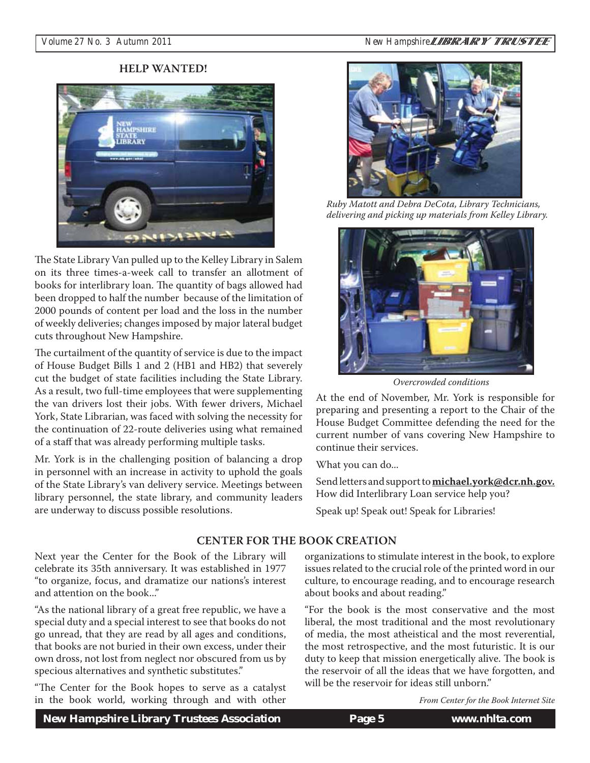

The State Library Van pulled up to the Kelley Library in Salem on its three times-a-week call to transfer an allotment of books for interlibrary loan. The quantity of bags allowed had been dropped to half the number because of the limitation of 2000 pounds of content per load and the loss in the number of weekly deliveries; changes imposed by major lateral budget cuts throughout New Hampshire.

The curtailment of the quantity of service is due to the impact of House Budget Bills 1 and 2 (HB1 and HB2) that severely cut the budget of state facilities including the State Library. As a result, two full-time employees that were supplementing the van drivers lost their jobs. With fewer drivers, Michael York, State Librarian, was faced with solving the necessity for the continuation of 22-route deliveries using what remained of a staff that was already performing multiple tasks.

Mr. York is in the challenging position of balancing a drop in personnel with an increase in activity to uphold the goals of the State Library's van delivery service. Meetings between library personnel, the state library, and community leaders are underway to discuss possible resolutions.



*Ruby Matott and Debra DeCota, Library Technicians, delivering and picking up materials from Kelley Library.*



*Overcrowded conditions* 

At the end of November, Mr. York is responsible for preparing and presenting a report to the Chair of the House Budget Committee defending the need for the current number of vans covering New Hampshire to continue their services.

What you can do...

Send letters and support to **michael.york@dcr.nh.gov.** How did Interlibrary Loan service help you?

Speak up! Speak out! Speak for Libraries!

Next year the Center for the Book of the Library will celebrate its 35th anniversary. It was established in 1977 "to organize, focus, and dramatize our nations's interest and attention on the book..."

"As the national library of a great free republic, we have a special duty and a special interest to see that books do not go unread, that they are read by all ages and conditions, that books are not buried in their own excess, under their own dross, not lost from neglect nor obscured from us by specious alternatives and synthetic substitutes."

"The Center for the Book hopes to serve as a catalyst in the book world, working through and with other

organizations to stimulate interest in the book, to explore of the Library will organizations to stimulate interest in the book, to explore issues related to the crucial role of the printed word in our culture, to encourage reading, and to encourage research about books and about reading."

> "For the book is the most conservative and the most liberal, the most traditional and the most revolutionary of media, the most atheistical and the most reverential, the most retrospective, and the most futuristic. It is our duty to keep that mission energetically alive. The book is the reservoir of all the ideas that we have forgotten, and will be the reservoir for ideas still unborn."

> > *From Center for the Book Internet Site*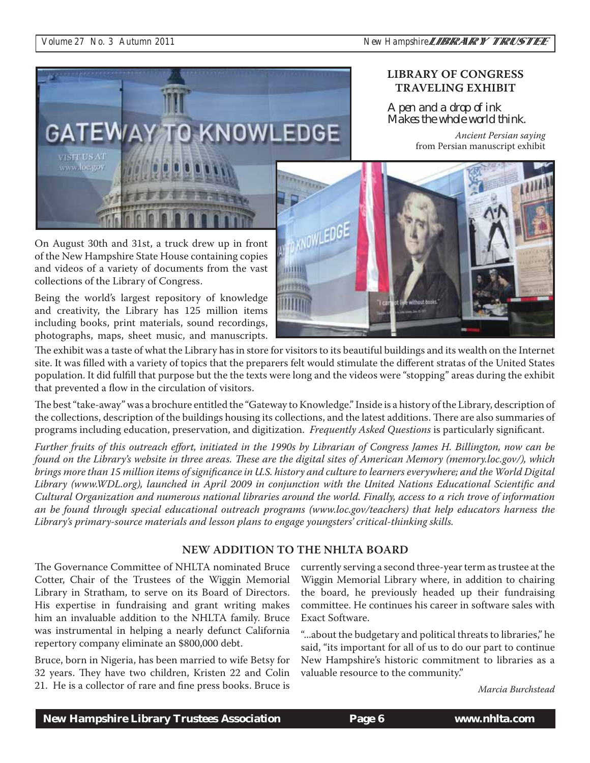

# **LIBRARY OF CONGRESS TRAVELING EXHIBIT**

A pen and a drop of ink Makes the whole world think.

> *Ancient Persian saying* from Persian manuscript exhibit

On August 30th and 31st, a truck drew up in front of the New Hampshire State House containing copies and videos of a variety of documents from the vast collections of the Library of Congress.

Being the world's largest repository of knowledge and creativity, the Library has 125 million items including books, print materials, sound recordings, photographs, maps, sheet music, and manuscripts.



The exhibit was a taste of what the Library has in store for visitors to its beautiful buildings and its wealth on the Internet site. It was filled with a variety of topics that the preparers felt would stimulate the different stratas of the United States population. It did fulfill that purpose but the the texts were long and the videos were "stopping" areas during the exhibit that prevented a flow in the circulation of visitors.

The best "take-away" was a brochure entitled the "Gateway to Knowledge." Inside is a history of the Library, description of the collections, description of the buildings housing its collections, and the latest additions. There are also summaries of programs including education, preservation, and digitization. *Frequently Asked Questions* is particularly significant.

*Further fruits of this outreach effort, initiated in the 1990s by Librarian of Congress James H. Billington, now can be found on the Library's website in three areas. These are the digital sites of American Memory (memory.loc.gov/), which brings more than 15 million items of significance in U.S. history and culture to learners everywhere; and the World Digital Library (www.WDL.org), launched in April 2009 in conjunction with the United Nations Educational Scientific and Cultural Organization and numerous national libraries around the world. Finally, access to a rich trove of information an be found through special educational outreach programs (www.loc.gov/teachers) that help educators harness the Library's primary-source materials and lesson plans to engage youngsters' critical-thinking skills.* 

### NEW ADDITION TO THE NHLTA BOARD **NEW ADDITION TO THE NHLTA BOARD**

The Governance Committee of NHLTA nominated Bruce Cotter, Chair of the Trustees of the Wiggin Memorial Library in Stratham, to serve on its Board of Directors. His expertise in fundraising and grant writing makes him an invaluable addition to the NHLTA family. Bruce was instrumental in helping a nearly defunct California repertory company eliminate an \$800,000 debt.

Bruce, born in Nigeria, has been married to wife Betsy for 32 years. They have two children, Kristen 22 and Colin 21. He is a collector of rare and fine press books. Bruce is currently serving a second three-year term as trustee at the Wiggin Memorial Library where, in addition to chairing the board, he previously headed up their fundraising committee. He continues his career in software sales with Exact Software.

"...about the budgetary and political threats to libraries," he said, "its important for all of us to do our part to continue New Hampshire's historic commitment to libraries as a valuable resource to the community."

*Marcia Burchstead*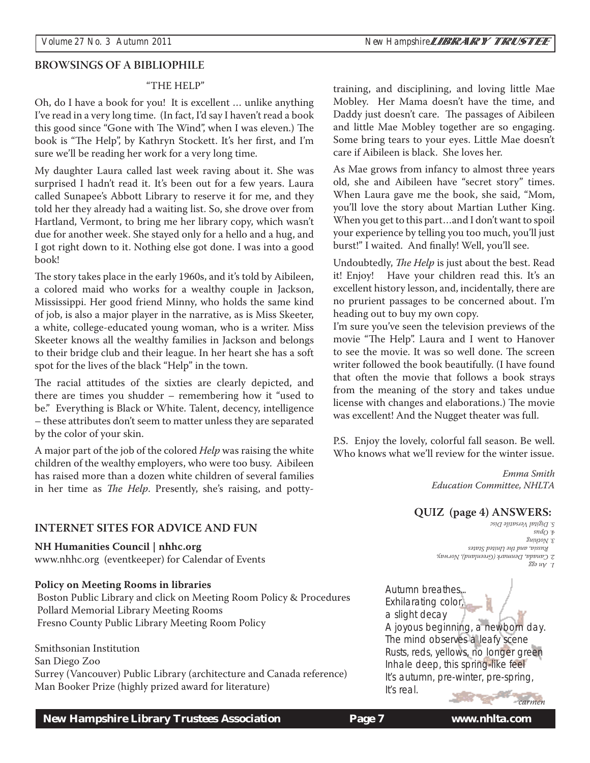# **BROWSINGS OF A BIBLIOPHILE**

## "THE HELP"

Oh, do I have a book for you! It is excellent … unlike anything I've read in a very long time. (In fact, I'd say I haven't read a book this good since "Gone with The Wind", when I was eleven.) The book is "The Help", by Kathryn Stockett. It's her first, and I'm sure we'll be reading her work for a very long time.

My daughter Laura called last week raving about it. She was surprised I hadn't read it. It's been out for a few years. Laura called Sunapee's Abbott Library to reserve it for me, and they told her they already had a waiting list. So, she drove over from Hartland, Vermont, to bring me her library copy, which wasn't due for another week. She stayed only for a hello and a hug, and I got right down to it. Nothing else got done. I was into a good book!

The story takes place in the early 1960s, and it's told by Aibileen, a colored maid who works for a wealthy couple in Jackson, Mississippi. Her good friend Minny, who holds the same kind of job, is also a major player in the narrative, as is Miss Skeeter, a white, college-educated young woman, who is a writer. Miss Skeeter knows all the wealthy families in Jackson and belongs to their bridge club and their league. In her heart she has a soft spot for the lives of the black "Help" in the town.

The racial attitudes of the sixties are clearly depicted, and there are times you shudder – remembering how it "used to be." Everything is Black or White. Talent, decency, intelligence – these attributes don't seem to matter unless they are separated by the color of your skin.

A major part of the job of the colored *Help* was raising the white children of the wealthy employers, who were too busy. Aibileen has raised more than a dozen white children of several families in her time as *The Help*. Presently, she's raising, and potty-

# **INTERNET SITES FOR ADVICE AND FUN**

**NH Humanities Council | nhhc.org**

www.nhhc.org (eventkeeper) for Calendar of Events

## **Policy on Meeting Rooms in libraries**

 Boston Public Library and click on Meeting Room Policy & Procedures Pollard Memorial Library Meeting Rooms Fresno County Public Library Meeting Room Policy

## Smithsonian Institution

San Diego Zoo

Surrey (Vancouver) Public Library (architecture and Canada reference) Man Booker Prize (highly prized award for literature)

training, and disciplining, and loving little Mae Mobley. Her Mama doesn't have the time, and Daddy just doesn't care. The passages of Aibileen and little Mae Mobley together are so engaging. Some bring tears to your eyes. Little Mae doesn't care if Aibileen is black. She loves her.

As Mae grows from infancy to almost three years old, she and Aibileen have "secret story" times. When Laura gave me the book, she said, "Mom, you'll love the story about Martian Luther King. When you get to this part…and I don't want to spoil your experience by telling you too much, you'll just burst!" I waited. And finally! Well, you'll see.

Undoubtedly, *The Help* is just about the best. Read it! Enjoy! Have your children read this. It's an excellent history lesson, and, incidentally, there are no prurient passages to be concerned about. I'm heading out to buy my own copy.

I'm sure you've seen the television previews of the movie "The Help". Laura and I went to Hanover to see the movie. It was so well done. The screen writer followed the book beautifully. (I have found that often the movie that follows a book strays from the meaning of the story and takes undue license with changes and elaborations.) The movie was excellent! And the Nugget theater was full.

P.S. Enjoy the lovely, colorful fall season. Be well. Who knows what we'll review for the winter issue.

> *Emma Smith Education Committee, NHLTA*

Autumn breathes... Exhilarating color, *1. An egg 2. Canada, Denmark (Greenland), Norway, Russia, and the United States 3. Nothing*  $\mathcal{E}$ *snd* $\bigcirc$   $\mathcal{F}$ *5. Digital Versatile Disc* **QUIZ (page 4) ANSWERS:**

a slight decay A joyous beginning, a newborn day. The mind observes a leafy scene Rusts, reds, yellows, no longer green Inhale deep, this spring-like feel It's autumn, pre-winter, pre-spring, It's real.

 *New Hampshire Library Trustees Association* **Page 7 www.nhlta.com 7**

*carmen*